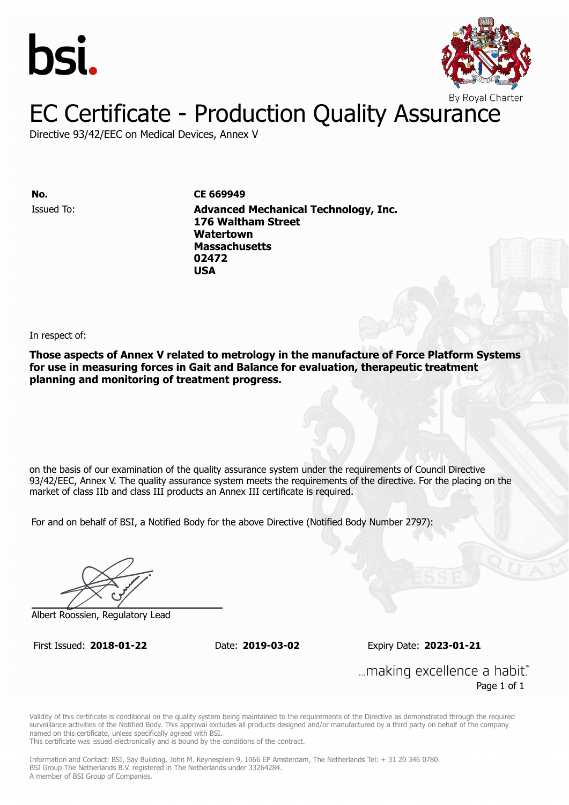



### EC Certificate - Production Quality Assurance

Directive 93/42/EEC on Medical Devices, Annex V

**No. CE 669949** Issued To: **Advanced Mechanical Technology, Inc. 176 Waltham Street Watertown Massachusetts 02472 USA**

In respect of:

**Those aspects of Annex V related to metrology in the manufacture of Force Platform Systems for use in measuring forces in Gait and Balance for evaluation, therapeutic treatment planning and monitoring of treatment progress.**

on the basis of our examination of the quality assurance system under the requirements of Council Directive 93/42/EEC, Annex V. The quality assurance system meets the requirements of the directive. For the placing on the market of class IIb and class III products an Annex III certificate is required.

For and on behalf of BSI, a Notified Body for the above Directive (Notified Body Number 2797):

Albert Roossien, Regulatory Lead

First Issued: **2018-01-22** Date: **2019-03-02** Expiry Date: **2023-01-21**

... making excellence a habit." Page 1 of 1

Validity of this certificate is conditional on the quality system being maintained to the requirements of the Directive as demonstrated through the required surveillance activities of the Notified Body. This approval excludes all products designed and/or manufactured by a third party on behalf of the company named on this certificate, unless specifically agreed with BSI.

This certificate was issued electronically and is bound by the conditions of the contract.

Information and Contact: BSI, Say Building, John M. Keynesplein 9, 1066 EP Amsterdam, The Netherlands Tel: + 31 20 346 0780 BSI Group The Netherlands B.V. registered in The Netherlands under 33264284. A member of BSI Group of Companies.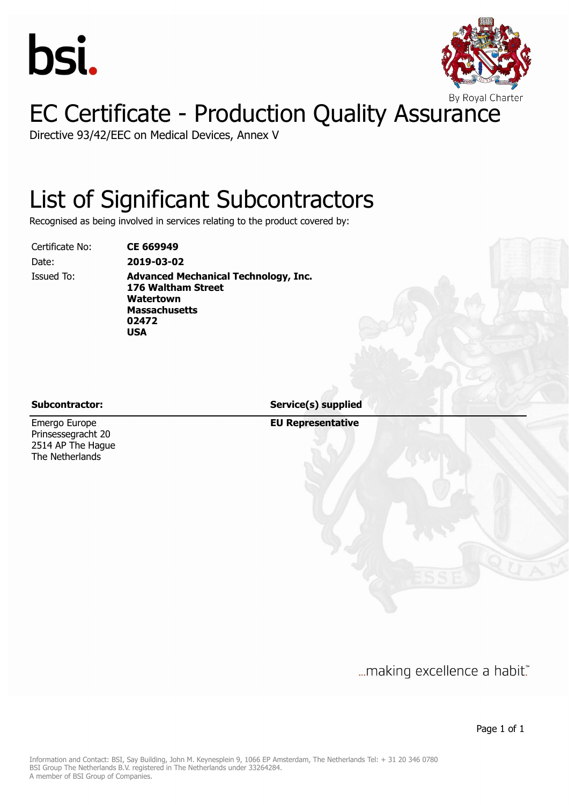



## EC Certificate - Production Quality Assurance

Directive 93/42/EEC on Medical Devices, Annex V

### List of Significant Subcontractors

Recognised as being involved in services relating to the product covered by:

Certificate No: **CE 669949**

Date: **2019-03-02**

Issued To: **Advanced Mechanical Technology, Inc. 176 Waltham Street Watertown Massachusetts 02472 USA**

Emergo Europe Prinsessegracht 20 2514 AP The Hague The Netherlands

**Subcontractor: Service(s) supplied**

**EU Representative**

... making excellence a habit."

Page 1 of 1